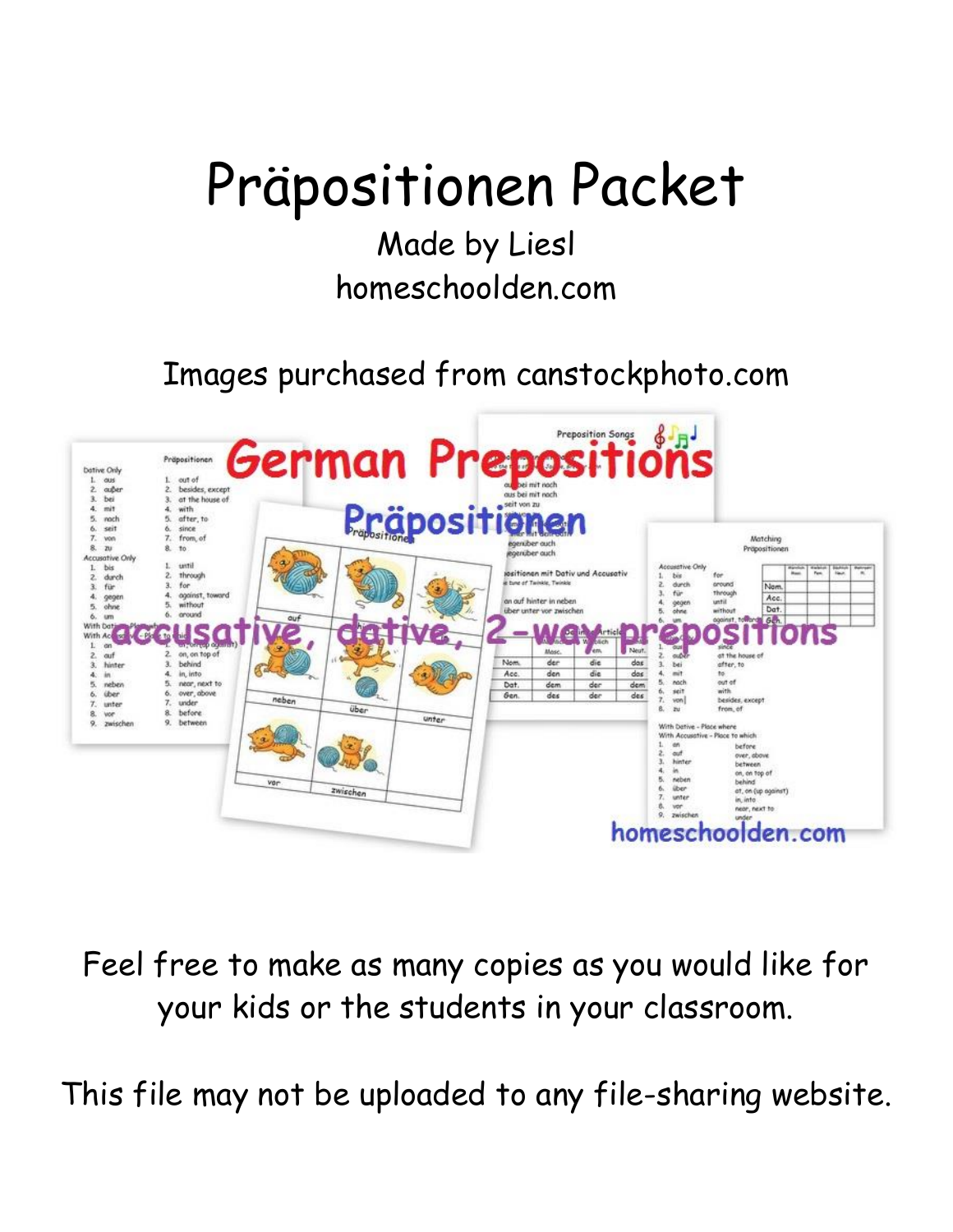# Präpositionen Packet

# Made by Liesl homeschoolden.com

Images purchased from canstockphoto.com



Feel free to make as many copies as you would like for your kids or the students in your classroom.

This file may not be uploaded to any file-sharing website.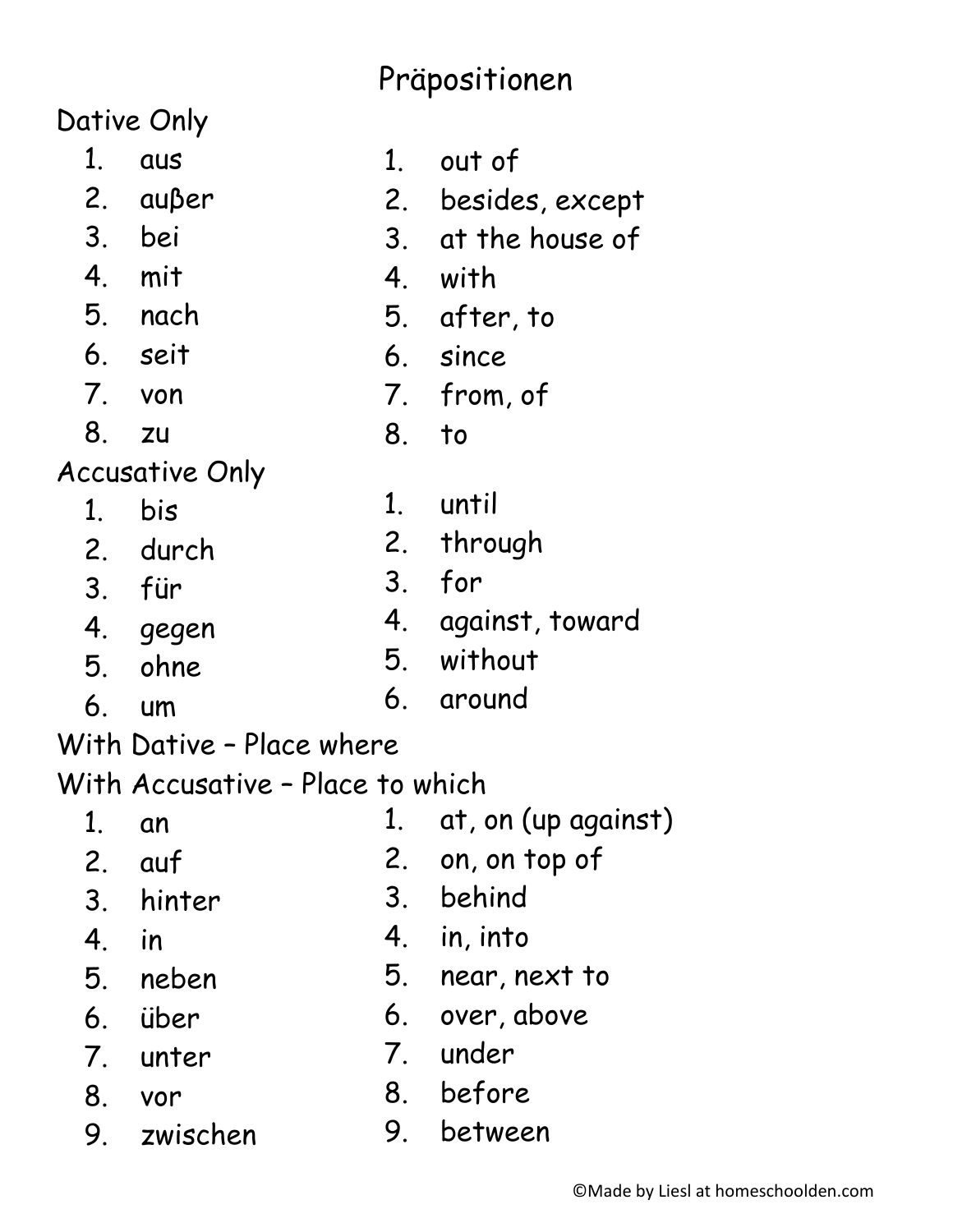## Präpositionen

Dative Only

- $1<sub>1</sub>$ aus
- $2.$ außer
- 3. bei
- 4 mit
- 5. nach
- 6. seit
- $7_{\cdot}$ von
- 8. **ZU**

**Accusative Only** 

- bis  $1<sup>1</sup>$
- $2<sub>1</sub>$ durch
- 3. für
- 4. gegen
- ohne 5.
- $6<sup>1</sup>$  $um$

With Dative - Place where

With Accusative - Place to which

- $1<sup>1</sup>$ at, on (up against)  $1<sub>1</sub>$ an
	- $2<sub>1</sub>$ auf
		- hinter
	- $4<sub>1</sub>$ in

 $3<sub>1</sub>$ 

- 5 neben
- $6<sup>1</sup>$ über
- $7<sub>1</sub>$ unter
- 8. vor
- 9. zwischen
- out of  $1<sup>1</sup>$ besides, except  $2.$
- $3<sub>l</sub>$ at the house of
- $4<sup>1</sup>$ with
- 5. after, to
- 6. since
- 7. from, of
- 8.  $\overline{10}$
- $1<sup>1</sup>$ until
- $2.$ through
	- for  $3<sub>l</sub>$
	- 4. against, toward

on, on top of

- 5. without
- $6<sub>1</sub>$ around

 $4<sup>1</sup>$ in, into

3. behind

- 5. near, next to
	- 6. over, above
- 7. under

 $2<sub>1</sub>$ 

- 8. before
- $9<sub>1</sub>$ between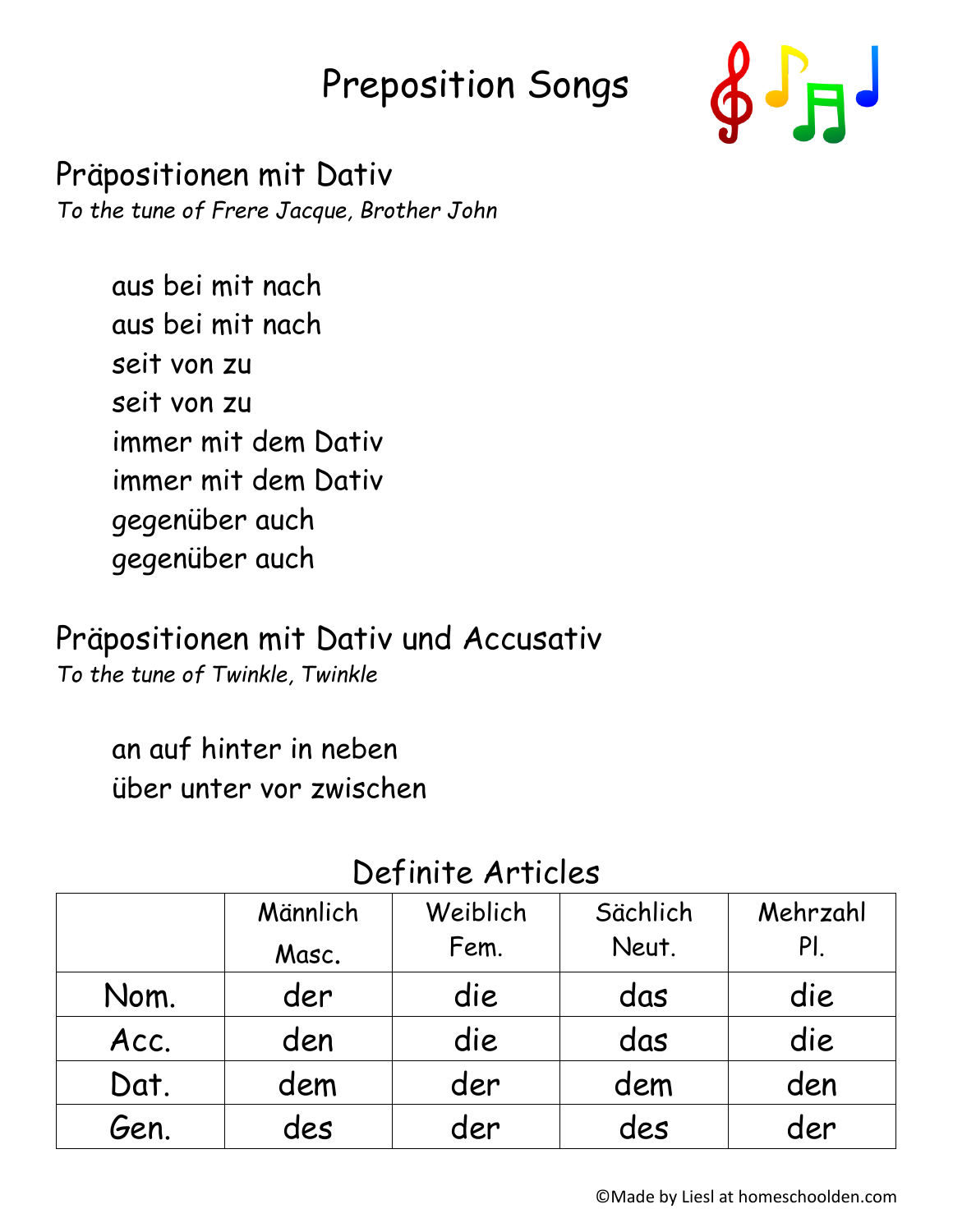# Preposition Songs



Präpositionen mit Dativ *To the tune of Frere Jacque, Brother John*

> aus bei mit nach aus bei mit nach seit von zu seit von zu immer mit dem Dativ immer mit dem Dativ gegenüber auch gegenüber auch

Präpositionen mit Dativ und Accusativ

*To the tune of Twinkle, Twinkle*

an auf hinter in neben über unter vor zwischen

|      | Männlich<br>Masc. | Weiblich<br>Fem. | Sächlich<br>Neut. | Mehrzahl<br>PI. |
|------|-------------------|------------------|-------------------|-----------------|
| Nom. | der               | die              | das               | die             |
| Acc. | den               | die              | das               | die             |
| Dat. | dem               | der              | dem               | den             |
| Gen. | des               | der              | des               | der             |

#### Definite Articles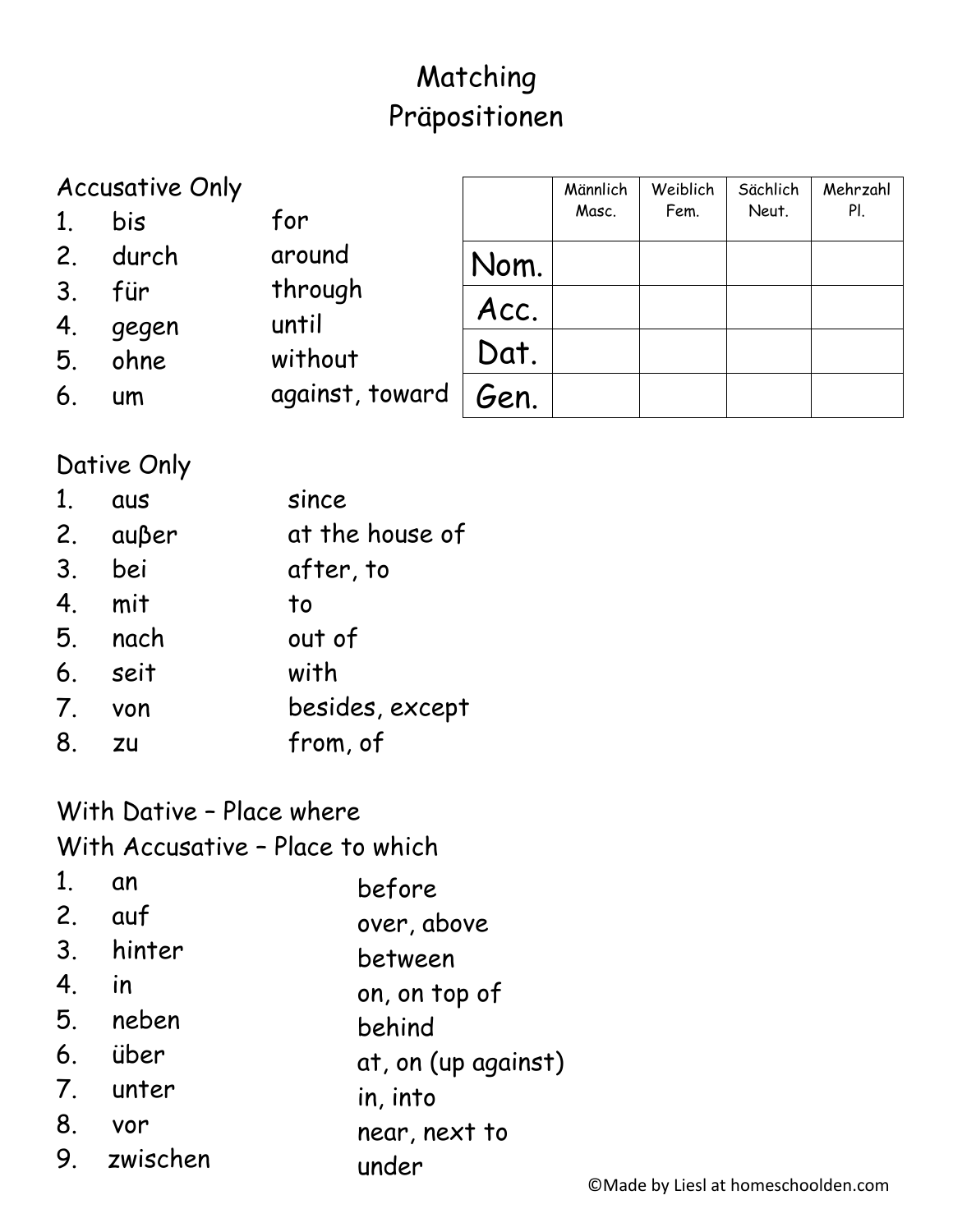### Matching Präpositionen

|                | <b>Accusative Only</b> |                 |      | Männlich | Weiblich | Sächlich | Mehrzahl |
|----------------|------------------------|-----------------|------|----------|----------|----------|----------|
| 1.             | bis                    | for             |      | Masc.    | Fem.     | Neut.    | PI.      |
| 2.             | durch                  | around          | Nom. |          |          |          |          |
| 3 <sub>1</sub> | für                    | through         | Acc. |          |          |          |          |
| 4.             | gegen                  | until           |      |          |          |          |          |
| 5.             | ohne                   | without         | Dat. |          |          |          |          |
| 6 <sub>1</sub> | um                     | against, toward | Gen. |          |          |          |          |

#### Dative Only

| 1 <sub>1</sub> | <b>aus</b>          | since           |
|----------------|---------------------|-----------------|
|                | 2. $a$ u $\beta$ er | at the house of |
| 3.             | bei                 | after, to       |
| 4.             | mit                 | to              |
|                | 5. nach             | out of          |
|                | 6. seit             | with            |
| 7.             | von                 | besides, except |
| 8.             | zu                  | from, of        |
|                |                     |                 |

### With Dative - Place where

With Accusative - Place to which

| an          | before              |
|-------------|---------------------|
| $2.$ auf    | over, above         |
| 3. hinter   | between             |
| in          | on, on top of       |
| 5. neben    | behind              |
| 6. über     | at, on (up against) |
| 7. unter    | in, into            |
| 8.<br>vor   | near, next to       |
| 9. zwischen | under               |
|             |                     |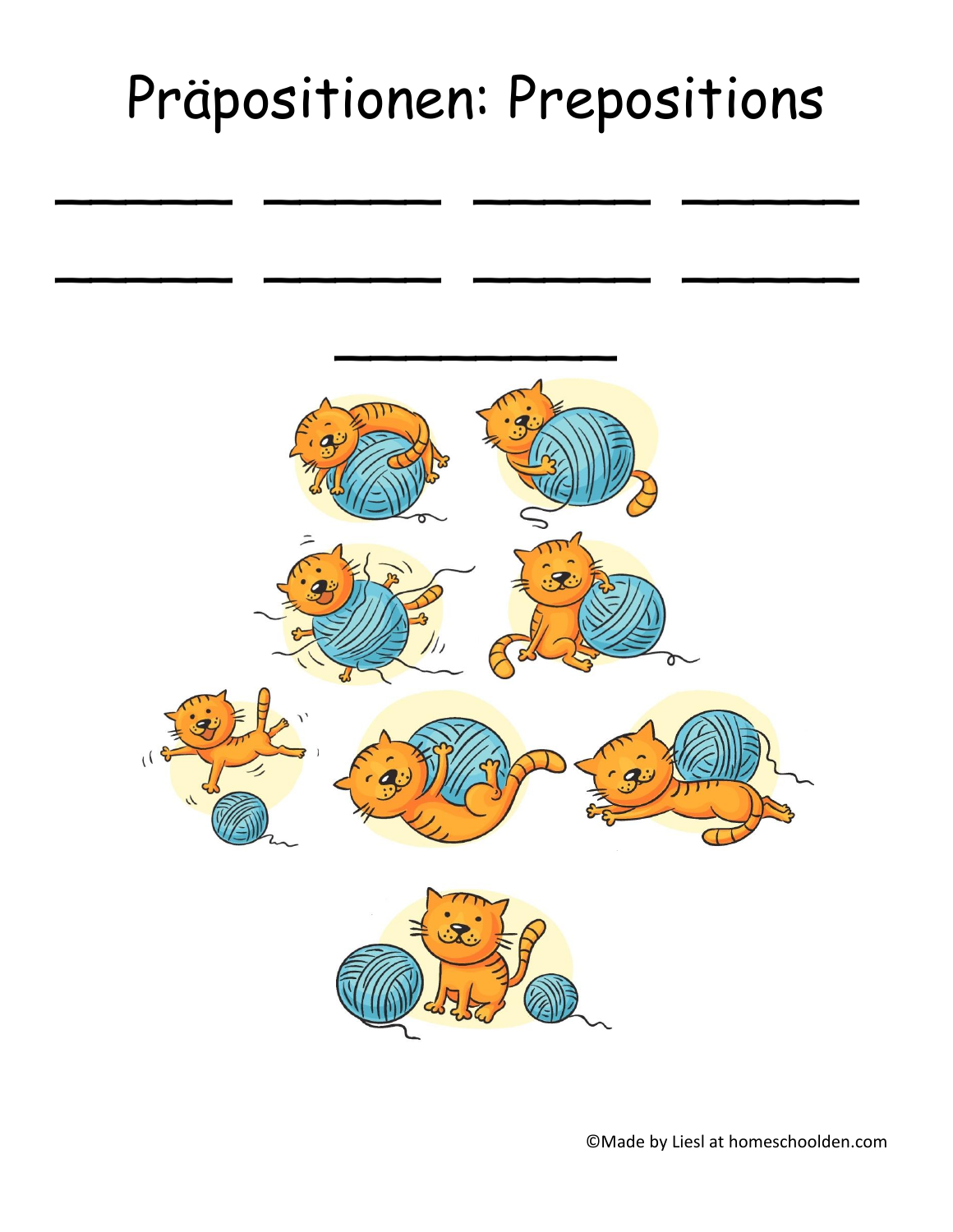# Präpositionen: Prepositions

 $\overline{\phantom{a}}$  ,  $\overline{\phantom{a}}$  ,  $\overline{\phantom{a}}$  ,  $\overline{\phantom{a}}$  ,  $\overline{\phantom{a}}$  ,  $\overline{\phantom{a}}$  ,  $\overline{\phantom{a}}$  ,  $\overline{\phantom{a}}$  ,  $\overline{\phantom{a}}$  ,  $\overline{\phantom{a}}$  ,  $\overline{\phantom{a}}$  ,  $\overline{\phantom{a}}$  ,  $\overline{\phantom{a}}$  ,  $\overline{\phantom{a}}$  ,  $\overline{\phantom{a}}$  ,  $\overline{\phantom{a}}$ 

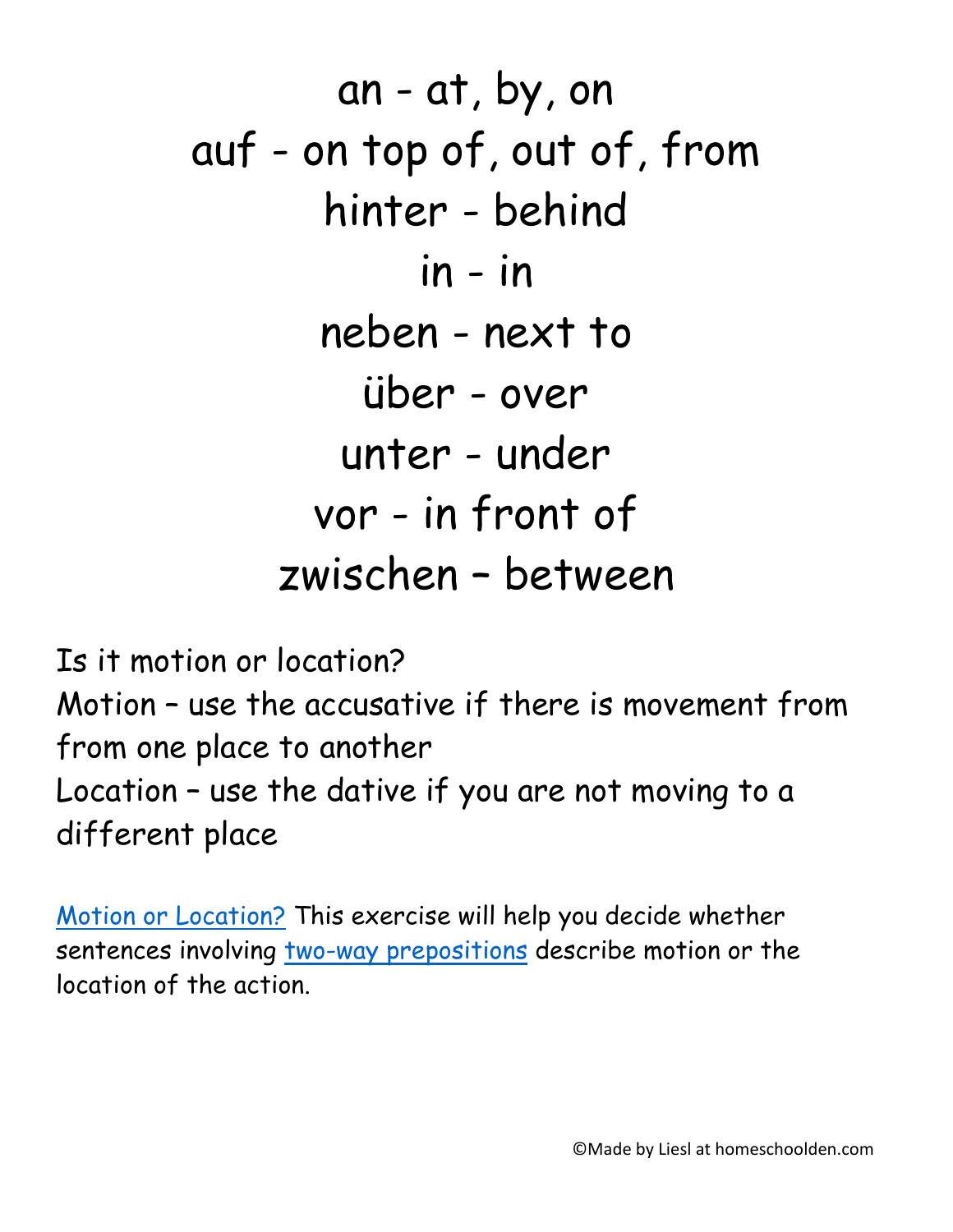an - at, by, on auf - on top of, out of, from hinter - behind in - in neben - next to über - over unter - under vor - in front of zwischen – between

Is it motion or location? Motion – use the accusative if there is movement from from one place to another Location – use the dative if you are not moving to a different place

[Motion or Location?](https://www.lsa.umich.edu/german/hmr/Grammatik/Praepositionen/potatoes/twoway.htm) This exercise will help you decide whether sentences involving [two-way prepositions](https://www.lsa.umich.edu/german/hmr/Grammatik/Praepositionen/Prepositions.html#twowaynotes) describe motion or the location of the action.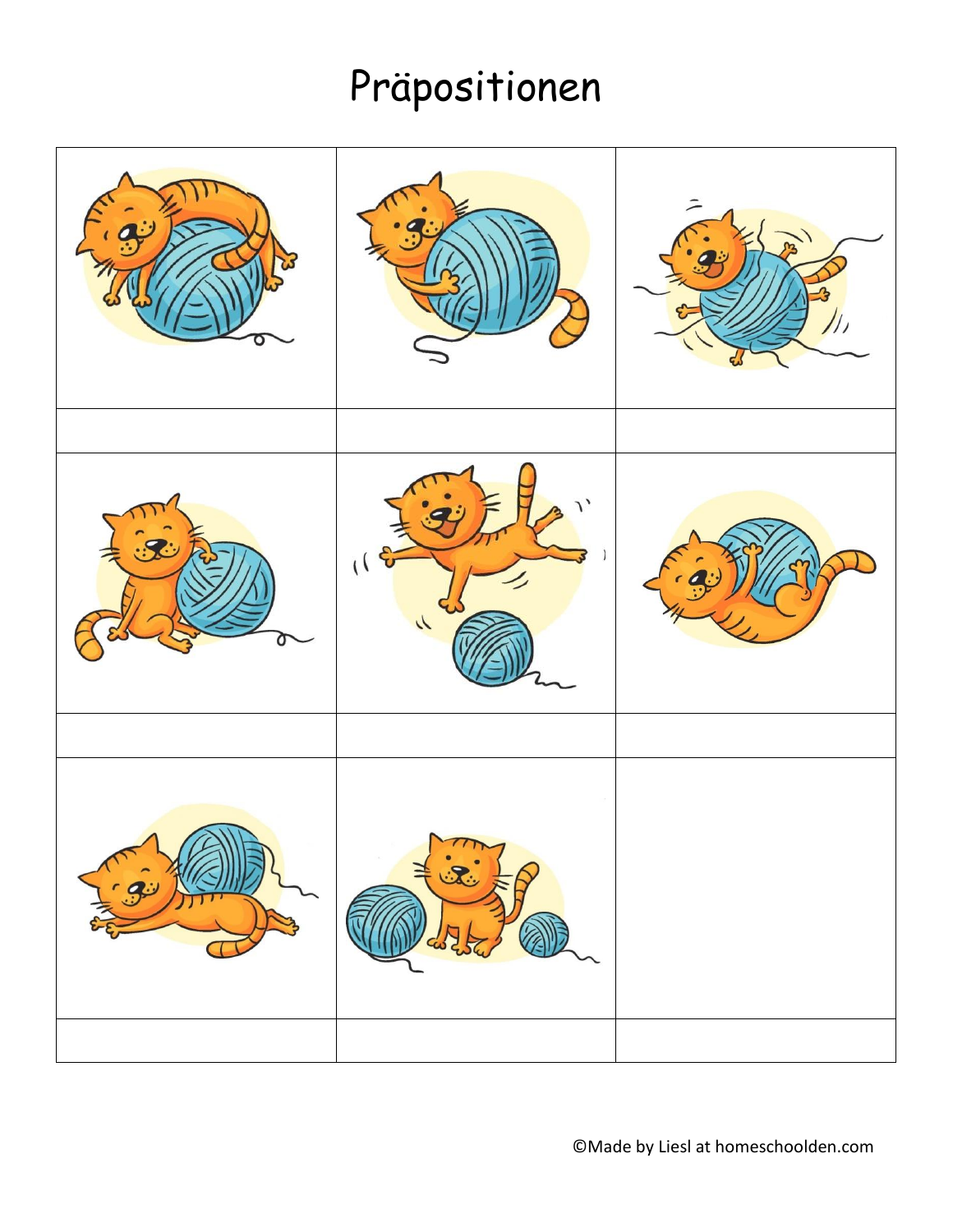# Präpositionen

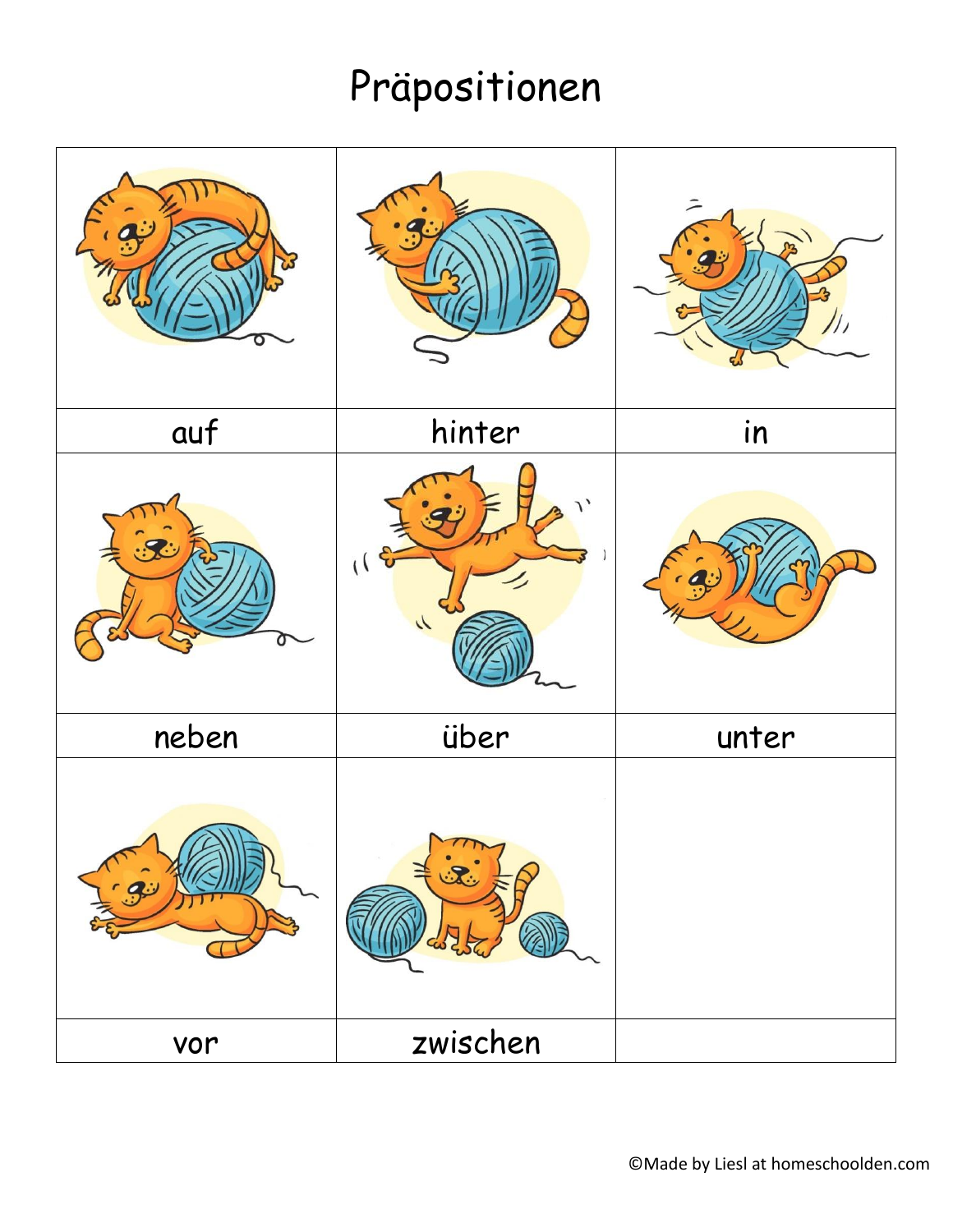# Präpositionen

|       |                                    | ニ     |
|-------|------------------------------------|-------|
| auf   | hinter                             | in    |
|       | $\lambda$<br>(16)<br>$\mathcal{N}$ |       |
| neben | über                               | unter |
| $-9$  | $\sqrt{7}$                         |       |
| vor   | zwischen                           |       |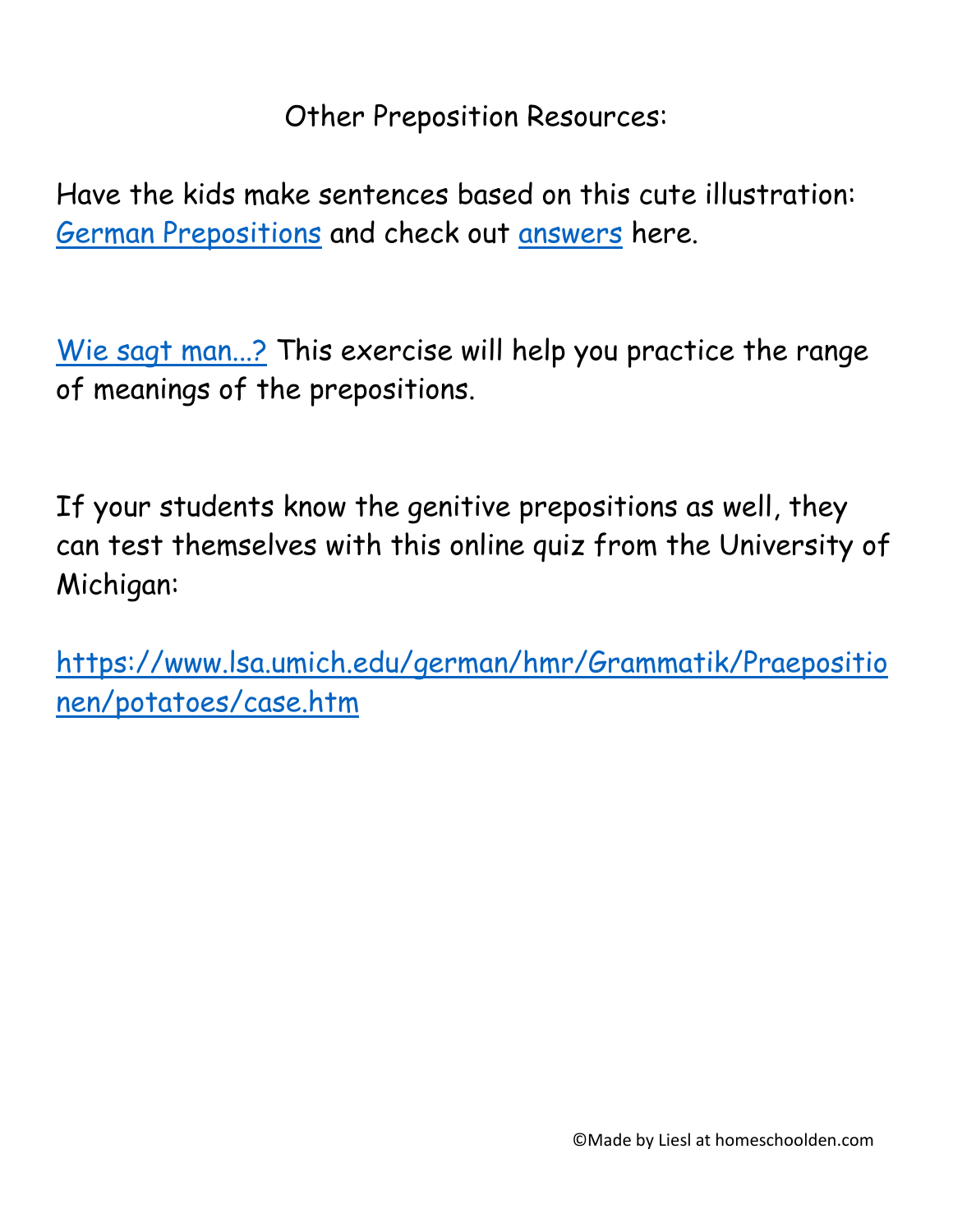Other Preposition Resources:

Have the kids make sentences based on this cute illustration: [German Prepositions](https://year8german.files.wordpress.com/2009/06/prepositions-of-place-pictures1.png) and check out [answers](https://year8german.files.wordpress.com/2009/06/prepositions-of-place-answers.png) here.

[Wie sagt man...?](https://www.lsa.umich.edu/german/hmr/Grammatik/Praepositionen/potatoes/wiesagtman.htm) This exercise will help you practice the range of meanings of the prepositions.

If your students know the genitive prepositions as well, they can test themselves with this online quiz from the University of Michigan:

[https://www.lsa.umich.edu/german/hmr/Grammatik/Praepositio](https://www.lsa.umich.edu/german/hmr/Grammatik/Praepositionen/potatoes/case.htm) [nen/potatoes/case.htm](https://www.lsa.umich.edu/german/hmr/Grammatik/Praepositionen/potatoes/case.htm)